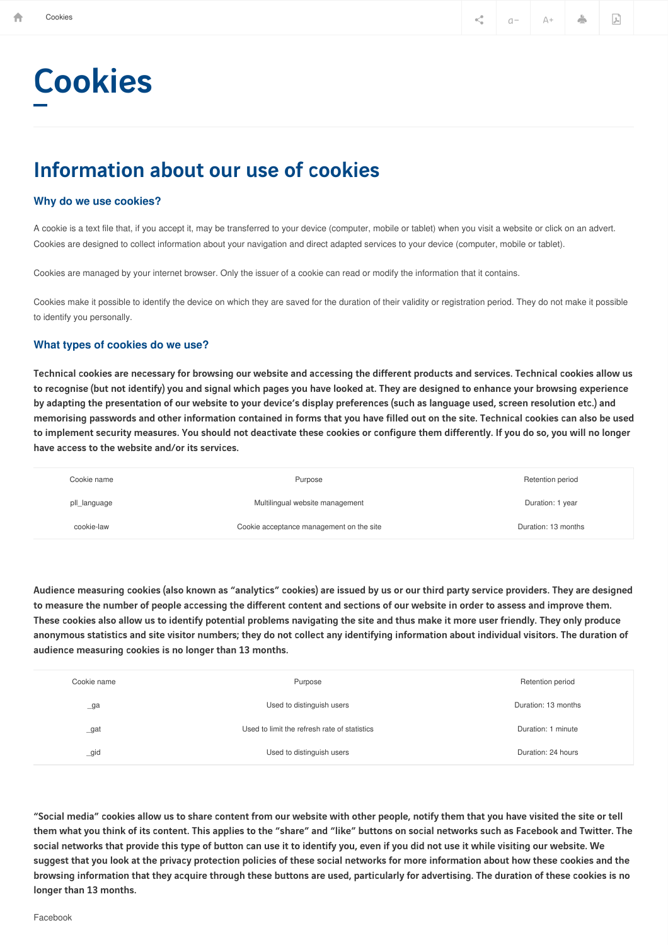# Cookies

## Information about our use of cookies

#### **Why do we use cookies?**

A cookie is a text file that, if you accept it, may be transferred to your device (computer, mobile or tablet) when you visit a website or click on an advert. Cookies are designed to collect information about your navigation and direct adapted services to your device (computer, mobile or tablet).

Cookies are managed by your internet browser. Only the issuer of a cookie can read or modify the information that it contains.

Cookies make it possible to identify the device on which they are saved for the duration of their validity or registration period. They do not make it possible to identify you personally.

#### **What types of cookies do we use?**

Technical cookies are necessary for browsing our website and accessing the different products and services. Technical cookies allow us to recognise (but not identify) you and signal which pages you have looked at. They are designed to enhance your browsing experience by adapting the presentation of our website to your device's display preferences (such as language used, screen resolution etc.) and memorising passwords and other information contained in forms that you have filled out on the site. Technical cookies can also be used to implement security measures. You should not deactivate these cookies or configure them differently. If you do so, you will no longer have access to the website and/or its services.

| Cookie name  | Purpose                                  | Retention period    |
|--------------|------------------------------------------|---------------------|
| pll_language | Multilingual website management          | Duration: 1 year    |
| cookie-law   | Cookie acceptance management on the site | Duration: 13 months |

Audience measuring cookies (also known as "analytics" cookies) are issued by us or our third party service providers. They are designed to measure the number of people accessing the different content and sections of our website in order to assess and improve them. These cookies also allow us to identify potential problems navigating the site and thus make it more user friendly. They only produce anonymous statistics and site visitor numbers; they do not collect any identifying information about individual visitors. The duration of audience measuring cookies is no longer than 13 months.

| Cookie name    | Purpose                                      | Retention period    |  |  |
|----------------|----------------------------------------------|---------------------|--|--|
| $\lrcorner$ ga | Used to distinguish users                    | Duration: 13 months |  |  |
| _gat           | Used to limit the refresh rate of statistics | Duration: 1 minute  |  |  |
| gid            | Used to distinguish users                    | Duration: 24 hours  |  |  |

"Social media" cookies allow us to share content from our website with other people, notify them that you have visited the site or tell them what you think of its content. This applies to the "share" and "like" buttons on social networks such as Facebook and Twitter. The social networks that provide this type of button can use it to identify you, even if you did not use it while visiting our website. We suggest that you look at the privacy protection policies of these social networks for more information about how these cookies and the browsing information that they acquire through these buttons are used, particularly for advertising. The duration of these cookies is no longer than 13 months.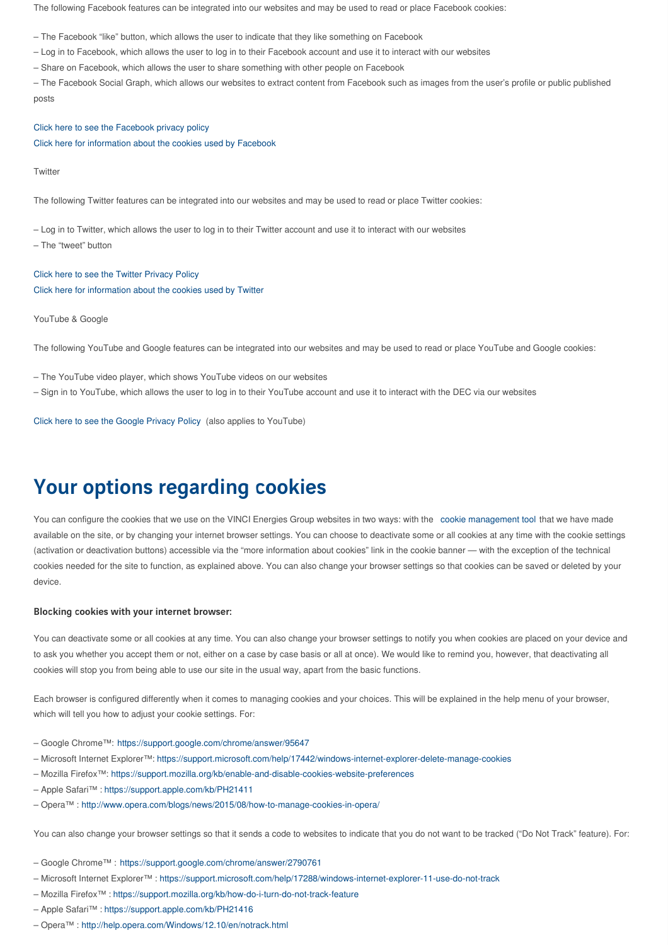The following Facebook features can be integrated into our websites and may be used to read or place Facebook cookies:

– The Facebook "like" button, which allows the user to indicate that they like something on Facebook

- Log in to Facebook, which allows the user to log in to their Facebook account and use it to interact with our websites
- Share on Facebook, which allows the user to share something with other people on Facebook

– The Facebook Social Graph, which allows our websites to extract content from Facebook such as images from the user's profile or public published posts

#### Click here to see the [Facebook](https://www.facebook.com/about/privacy/) privacy policy

Click here for [information](https://www.facebook.com/help/cookies) about the cookies used by Facebook

**Twitter** 

The following Twitter features can be integrated into our websites and may be used to read or place Twitter cookies:

– Log in to Twitter, which allows the user to log in to their Twitter account and use it to interact with our websites

– The "tweet" button

Click here to see the Twitter [Privacy](https://twitter.com/privacy) Policy Click here for [information](https://help.twitter.com/fr/rules-and-policies/twitter-cookies) about the cookies used by Twitter

YouTube & Google

The following YouTube and Google features can be integrated into our websites and may be used to read or place YouTube and Google cookies:

- The YouTube video player, which shows YouTube videos on our websites
- Sign in to YouTube, which allows the user to log in to their YouTube account and use it to interact with the DEC via our websites

Click here to see the Google [Privacy](http://www.google.com/intl/fr/policies/privacy/) Policy (also applies to YouTube)

## Your options regarding cookies

You can configure the cookies that we use on the VINCI Energies Group websites in two ways: with the cookie management tool that we have made available on the site, or by changing your internet browser settings. You can choose to deactivate some or all cookies at any time with the cookie settings (activation or deactivation buttons) accessible via the "more information about cookies" link in the cookie banner — with the exception of the technical cookies needed for the site to function, as explained above. You can also change your browser settings so that cookies can be saved or deleted by your device.

#### Blocking cookies with your internet browser:

You can deactivate some or all cookies at any time. You can also change your browser settings to notify you when cookies are placed on your device and to ask you whether you accept them or not, either on a case by case basis or all at once). We would like to remind you, however, that deactivating all cookies will stop you from being able to use our site in the usual way, apart from the basic functions.

Each browser is configured differently when it comes to managing cookies and your choices. This will be explained in the help menu of your browser, which will tell you how to adjust your cookie settings. For:

- Google Chrome™: <https://support.google.com/chrome/answer/95647>
- Microsoft Internet Explorer™: <https://support.microsoft.com/help/17442/windows-internet-explorer-delete-manage-cookies>
- Mozilla Firefox™: <https://support.mozilla.org/kb/enable-and-disable-cookies-website-preferences>
- Apple Safari™ :<https://support.apple.com/kb/PH21411>
- Opera™ : <http://www.opera.com/blogs/news/2015/08/how-to-manage-cookies-in-opera/>

You can also change your browser settings so that it sends a code to websites to indicate that you do not want to be tracked ("Do Not Track" feature). For:

- Google Chrome™ : <https://support.google.com/chrome/answer/2790761>
- Microsoft Internet Explorer™ :<https://support.microsoft.com/help/17288/windows-internet-explorer-11-use-do-not-track>
- Mozilla Firefox™ :<https://support.mozilla.org/kb/how-do-i-turn-do-not-track-feature>
- Apple Safari™ :<https://support.apple.com/kb/PH21416>
- Opera™ : <http://help.opera.com/Windows/12.10/en/notrack.html>